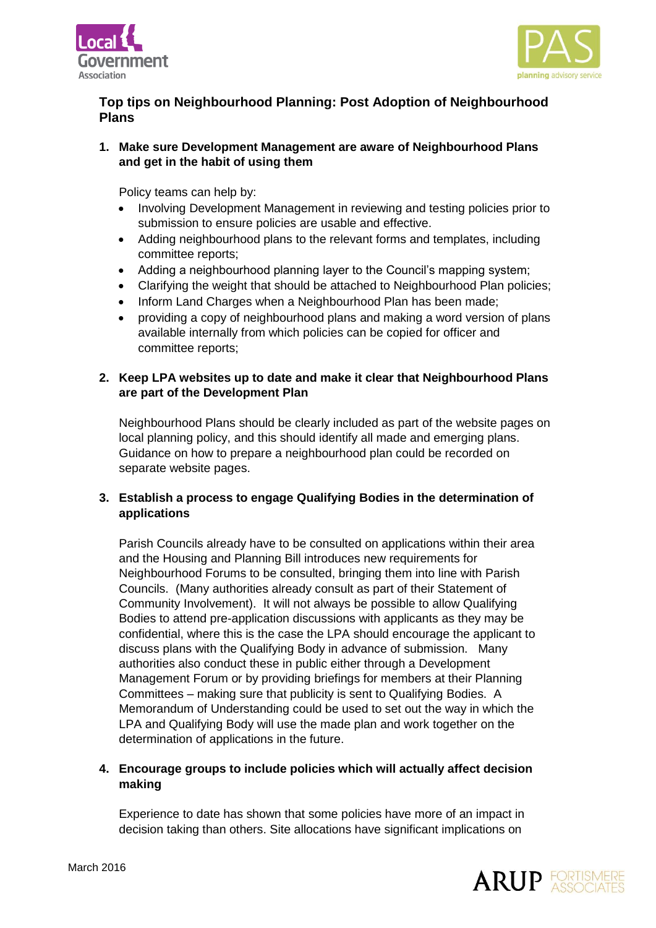



# **Top tips on Neighbourhood Planning: Post Adoption of Neighbourhood Plans**

**1. Make sure Development Management are aware of Neighbourhood Plans and get in the habit of using them**

Policy teams can help by:

- Involving Development Management in reviewing and testing policies prior to submission to ensure policies are usable and effective.
- Adding neighbourhood plans to the relevant forms and templates, including committee reports;
- Adding a neighbourhood planning layer to the Council's mapping system;
- Clarifying the weight that should be attached to Neighbourhood Plan policies;
- Inform Land Charges when a Neighbourhood Plan has been made;
- providing a copy of neighbourhood plans and making a word version of plans available internally from which policies can be copied for officer and committee reports;

## **2. Keep LPA websites up to date and make it clear that Neighbourhood Plans are part of the Development Plan**

Neighbourhood Plans should be clearly included as part of the website pages on local planning policy, and this should identify all made and emerging plans. Guidance on how to prepare a neighbourhood plan could be recorded on separate website pages.

## **3. Establish a process to engage Qualifying Bodies in the determination of applications**

Parish Councils already have to be consulted on applications within their area and the Housing and Planning Bill introduces new requirements for Neighbourhood Forums to be consulted, bringing them into line with Parish Councils. (Many authorities already consult as part of their Statement of Community Involvement). It will not always be possible to allow Qualifying Bodies to attend pre-application discussions with applicants as they may be confidential, where this is the case the LPA should encourage the applicant to discuss plans with the Qualifying Body in advance of submission. Many authorities also conduct these in public either through a Development Management Forum or by providing briefings for members at their Planning Committees – making sure that publicity is sent to Qualifying Bodies. A Memorandum of Understanding could be used to set out the way in which the LPA and Qualifying Body will use the made plan and work together on the determination of applications in the future.

## **4. Encourage groups to include policies which will actually affect decision making**

Experience to date has shown that some policies have more of an impact in decision taking than others. Site allocations have significant implications on

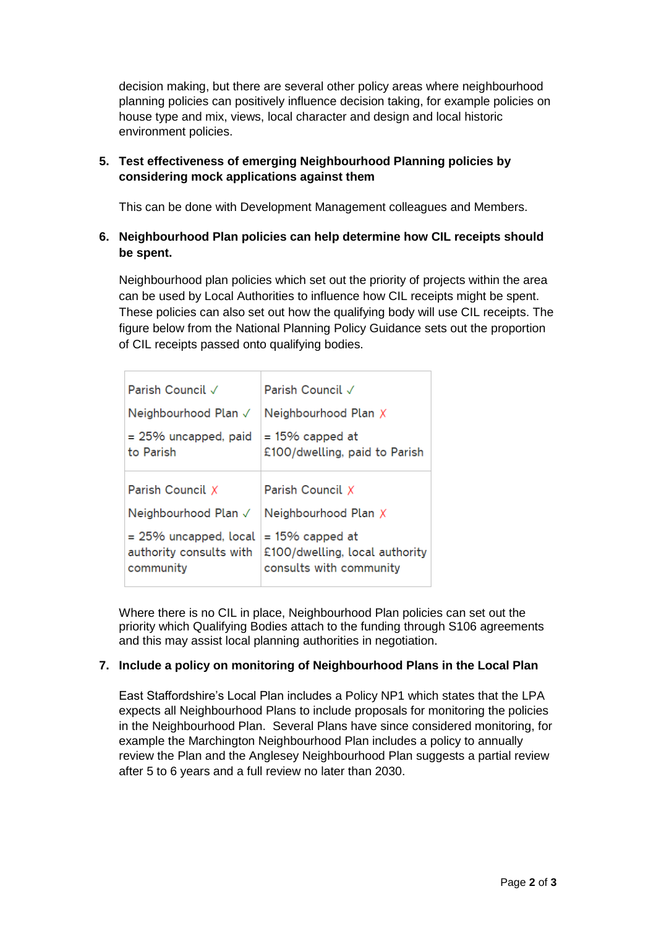decision making, but there are several other policy areas where neighbourhood planning policies can positively influence decision taking, for example policies on house type and mix, views, local character and design and local historic environment policies.

## **5. Test effectiveness of emerging Neighbourhood Planning policies by considering mock applications against them**

This can be done with Development Management colleagues and Members.

## **6. Neighbourhood Plan policies can help determine how CIL receipts should be spent.**

Neighbourhood plan policies which set out the priority of projects within the area can be used by Local Authorities to influence how CIL receipts might be spent. These policies can also set out how the qualifying body will use CIL receipts. The figure below from the National Planning Policy Guidance sets out the proportion of CIL receipts passed onto qualifying bodies.

| Parish Council √                                                 | Parish Council √                                                                |
|------------------------------------------------------------------|---------------------------------------------------------------------------------|
| Neighbourhood Plan √                                             | Neighbourhood Plan X                                                            |
| $= 25\%$ uncapped, paid<br>to Parish                             | $= 15\%$ capped at<br>£100/dwelling, paid to Parish                             |
| Parish Council X                                                 | Parish Council X                                                                |
| Neighbourhood Plan √                                             | Neighbourhood Plan X                                                            |
| $= 25\%$ uncapped, local<br>authority consults with<br>community | $= 15\%$ capped at<br>£100/dwelling, local authority<br>consults with community |

Where there is no CIL in place, Neighbourhood Plan policies can set out the priority which Qualifying Bodies attach to the funding through S106 agreements and this may assist local planning authorities in negotiation.

# **7. Include a policy on monitoring of Neighbourhood Plans in the Local Plan**

East Staffordshire's Local Plan includes a Policy NP1 which states that the LPA expects all Neighbourhood Plans to include proposals for monitoring the policies in the Neighbourhood Plan. Several Plans have since considered monitoring, for example the Marchington Neighbourhood Plan includes a policy to annually review the Plan and the Anglesey Neighbourhood Plan suggests a partial review after 5 to 6 years and a full review no later than 2030.